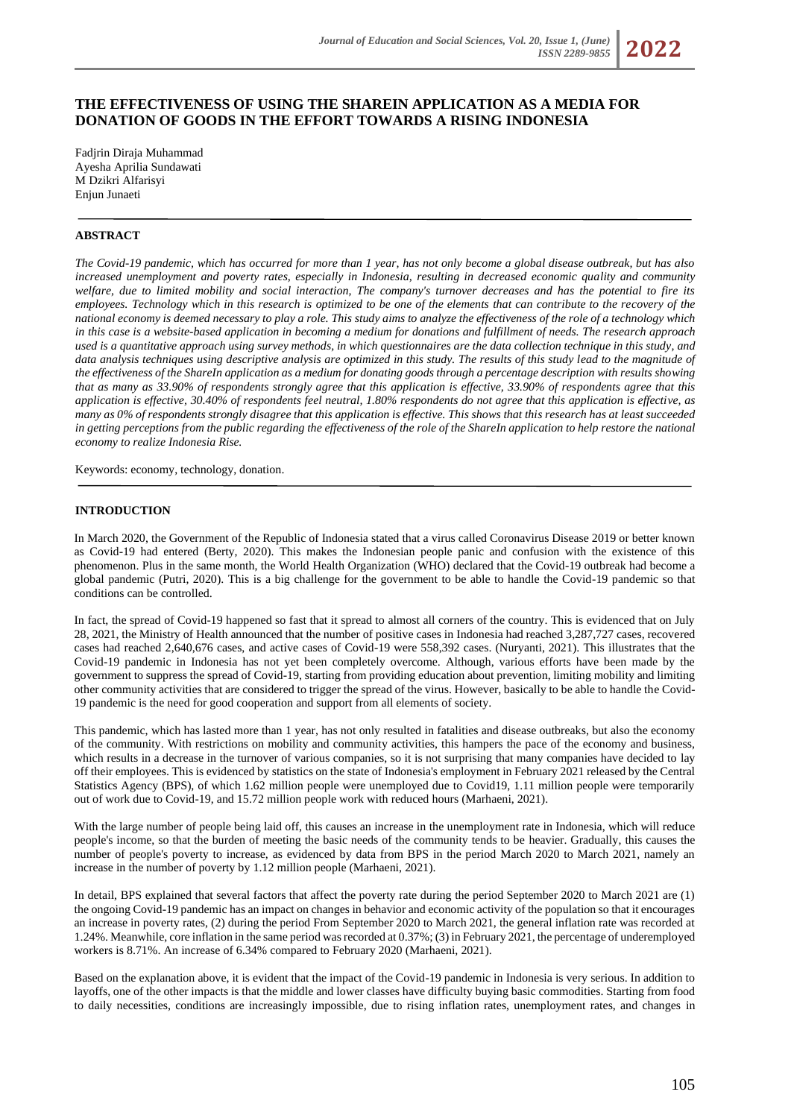# **THE EFFECTIVENESS OF USING THE SHAREIN APPLICATION AS A MEDIA FOR DONATION OF GOODS IN THE EFFORT TOWARDS A RISING INDONESIA**

Fadjrin Diraja Muhammad Ayesha Aprilia Sundawati M Dzikri Alfarisyi Enjun Junaeti

# **ABSTRACT**

*The Covid-19 pandemic, which has occurred for more than 1 year, has not only become a global disease outbreak, but has also increased unemployment and poverty rates, especially in Indonesia, resulting in decreased economic quality and community welfare, due to limited mobility and social interaction, The company's turnover decreases and has the potential to fire its employees. Technology which in this research is optimized to be one of the elements that can contribute to the recovery of the national economy is deemed necessary to play a role. This study aims to analyze the effectiveness of the role of a technology which in this case is a website-based application in becoming a medium for donations and fulfillment of needs. The research approach used is a quantitative approach using survey methods, in which questionnaires are the data collection technique in this study, and*  data analysis techniques using descriptive analysis are optimized in this study. The results of this study lead to the magnitude of *the effectiveness of the ShareIn application as a medium for donating goods through a percentage description with results showing that as many as 33.90% of respondents strongly agree that this application is effective, 33.90% of respondents agree that this application is effective, 30.40% of respondents feel neutral, 1.80% respondents do not agree that this application is effective, as many as 0% of respondents strongly disagree that this application is effective. This shows that this research has at least succeeded*  in getting perceptions from the public regarding the effectiveness of the role of the ShareIn application to help restore the national *economy to realize Indonesia Rise.* 

Keywords: economy, technology, donation.

### **INTRODUCTION**

In March 2020, the Government of the Republic of Indonesia stated that a virus called Coronavirus Disease 2019 or better known as Covid-19 had entered (Berty, 2020). This makes the Indonesian people panic and confusion with the existence of this phenomenon. Plus in the same month, the World Health Organization (WHO) declared that the Covid-19 outbreak had become a global pandemic (Putri, 2020). This is a big challenge for the government to be able to handle the Covid-19 pandemic so that conditions can be controlled.

In fact, the spread of Covid-19 happened so fast that it spread to almost all corners of the country. This is evidenced that on July 28, 2021, the Ministry of Health announced that the number of positive cases in Indonesia had reached 3,287,727 cases, recovered cases had reached 2,640,676 cases, and active cases of Covid-19 were 558,392 cases. (Nuryanti, 2021). This illustrates that the Covid-19 pandemic in Indonesia has not yet been completely overcome. Although, various efforts have been made by the government to suppress the spread of Covid-19, starting from providing education about prevention, limiting mobility and limiting other community activities that are considered to trigger the spread of the virus. However, basically to be able to handle the Covid-19 pandemic is the need for good cooperation and support from all elements of society.

This pandemic, which has lasted more than 1 year, has not only resulted in fatalities and disease outbreaks, but also the economy of the community. With restrictions on mobility and community activities, this hampers the pace of the economy and business, which results in a decrease in the turnover of various companies, so it is not surprising that many companies have decided to lay off their employees. This is evidenced by statistics on the state of Indonesia's employment in February 2021 released by the Central Statistics Agency (BPS), of which 1.62 million people were unemployed due to Covid19, 1.11 million people were temporarily out of work due to Covid-19, and 15.72 million people work with reduced hours (Marhaeni, 2021).

With the large number of people being laid off, this causes an increase in the unemployment rate in Indonesia, which will reduce people's income, so that the burden of meeting the basic needs of the community tends to be heavier. Gradually, this causes the number of people's poverty to increase, as evidenced by data from BPS in the period March 2020 to March 2021, namely an increase in the number of poverty by 1.12 million people (Marhaeni, 2021).

In detail, BPS explained that several factors that affect the poverty rate during the period September 2020 to March 2021 are (1) the ongoing Covid-19 pandemic has an impact on changes in behavior and economic activity of the population so that it encourages an increase in poverty rates, (2) during the period From September 2020 to March 2021, the general inflation rate was recorded at 1.24%. Meanwhile, core inflation in the same period was recorded at 0.37%; (3) in February 2021, the percentage of underemployed workers is 8.71%. An increase of 6.34% compared to February 2020 (Marhaeni, 2021).

Based on the explanation above, it is evident that the impact of the Covid-19 pandemic in Indonesia is very serious. In addition to layoffs, one of the other impacts is that the middle and lower classes have difficulty buying basic commodities. Starting from food to daily necessities, conditions are increasingly impossible, due to rising inflation rates, unemployment rates, and changes in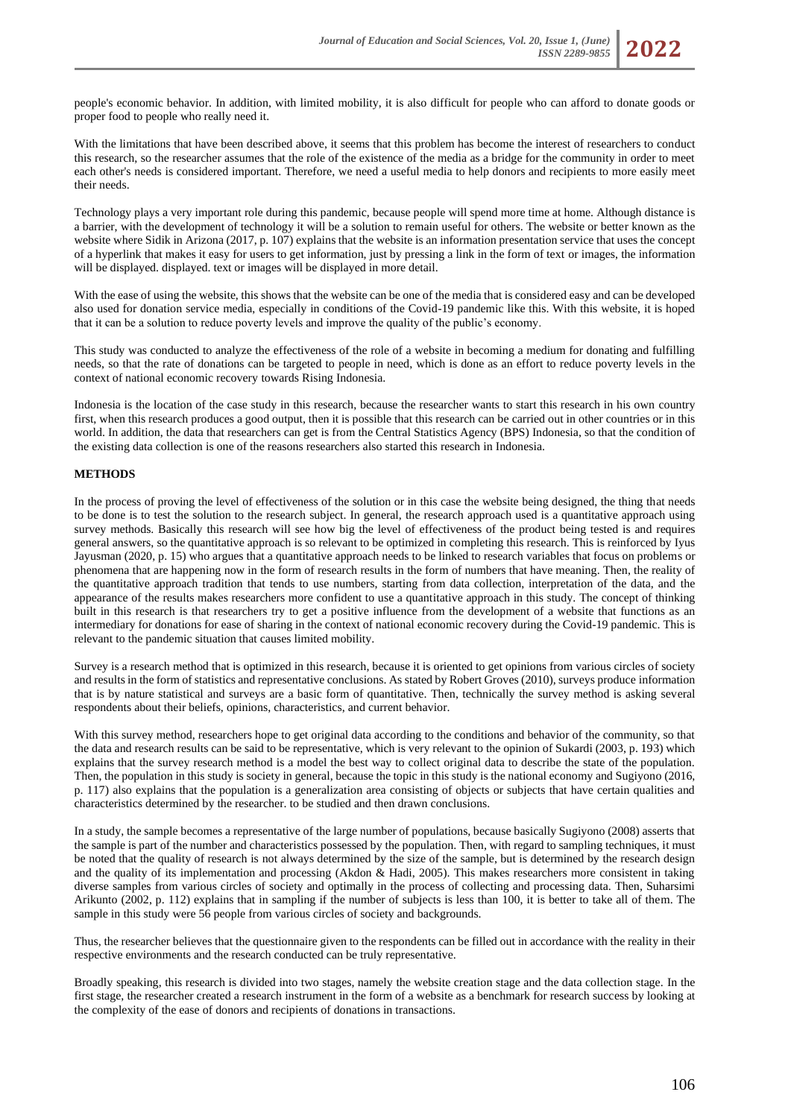

people's economic behavior. In addition, with limited mobility, it is also difficult for people who can afford to donate goods or proper food to people who really need it.

With the limitations that have been described above, it seems that this problem has become the interest of researchers to conduct this research, so the researcher assumes that the role of the existence of the media as a bridge for the community in order to meet each other's needs is considered important. Therefore, we need a useful media to help donors and recipients to more easily meet their needs.

Technology plays a very important role during this pandemic, because people will spend more time at home. Although distance is a barrier, with the development of technology it will be a solution to remain useful for others. The website or better known as the website where Sidik in Arizona (2017, p. 107) explains that the website is an information presentation service that uses the concept of a hyperlink that makes it easy for users to get information, just by pressing a link in the form of text or images, the information will be displayed. displayed. text or images will be displayed in more detail.

With the ease of using the website, this shows that the website can be one of the media that is considered easy and can be developed also used for donation service media, especially in conditions of the Covid-19 pandemic like this. With this website, it is hoped that it can be a solution to reduce poverty levels and improve the quality of the public's economy.

This study was conducted to analyze the effectiveness of the role of a website in becoming a medium for donating and fulfilling needs, so that the rate of donations can be targeted to people in need, which is done as an effort to reduce poverty levels in the context of national economic recovery towards Rising Indonesia.

Indonesia is the location of the case study in this research, because the researcher wants to start this research in his own country first, when this research produces a good output, then it is possible that this research can be carried out in other countries or in this world. In addition, the data that researchers can get is from the Central Statistics Agency (BPS) Indonesia, so that the condition of the existing data collection is one of the reasons researchers also started this research in Indonesia.

# **METHODS**

In the process of proving the level of effectiveness of the solution or in this case the website being designed, the thing that needs to be done is to test the solution to the research subject. In general, the research approach used is a quantitative approach using survey methods. Basically this research will see how big the level of effectiveness of the product being tested is and requires general answers, so the quantitative approach is so relevant to be optimized in completing this research. This is reinforced by Iyus Jayusman (2020, p. 15) who argues that a quantitative approach needs to be linked to research variables that focus on problems or phenomena that are happening now in the form of research results in the form of numbers that have meaning. Then, the reality of the quantitative approach tradition that tends to use numbers, starting from data collection, interpretation of the data, and the appearance of the results makes researchers more confident to use a quantitative approach in this study. The concept of thinking built in this research is that researchers try to get a positive influence from the development of a website that functions as an intermediary for donations for ease of sharing in the context of national economic recovery during the Covid-19 pandemic. This is relevant to the pandemic situation that causes limited mobility.

Survey is a research method that is optimized in this research, because it is oriented to get opinions from various circles of society and results in the form of statistics and representative conclusions. As stated by Robert Groves (2010), surveys produce information that is by nature statistical and surveys are a basic form of quantitative. Then, technically the survey method is asking several respondents about their beliefs, opinions, characteristics, and current behavior.

With this survey method, researchers hope to get original data according to the conditions and behavior of the community, so that the data and research results can be said to be representative, which is very relevant to the opinion of Sukardi (2003, p. 193) which explains that the survey research method is a model the best way to collect original data to describe the state of the population. Then, the population in this study is society in general, because the topic in this study is the national economy and Sugiyono (2016, p. 117) also explains that the population is a generalization area consisting of objects or subjects that have certain qualities and characteristics determined by the researcher. to be studied and then drawn conclusions.

In a study, the sample becomes a representative of the large number of populations, because basically Sugiyono (2008) asserts that the sample is part of the number and characteristics possessed by the population. Then, with regard to sampling techniques, it must be noted that the quality of research is not always determined by the size of the sample, but is determined by the research design and the quality of its implementation and processing (Akdon & Hadi, 2005). This makes researchers more consistent in taking diverse samples from various circles of society and optimally in the process of collecting and processing data. Then, Suharsimi Arikunto (2002, p. 112) explains that in sampling if the number of subjects is less than 100, it is better to take all of them. The sample in this study were 56 people from various circles of society and backgrounds.

Thus, the researcher believes that the questionnaire given to the respondents can be filled out in accordance with the reality in their respective environments and the research conducted can be truly representative.

Broadly speaking, this research is divided into two stages, namely the website creation stage and the data collection stage. In the first stage, the researcher created a research instrument in the form of a website as a benchmark for research success by looking at the complexity of the ease of donors and recipients of donations in transactions.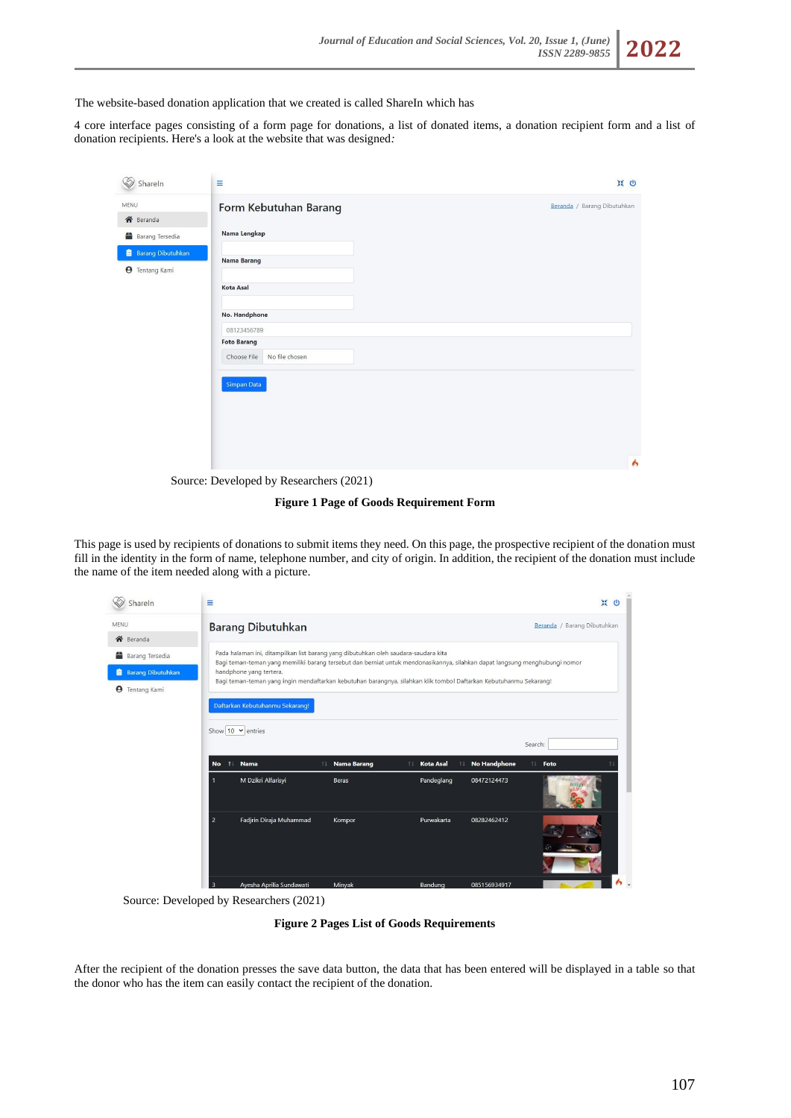

4 core interface pages consisting of a form page for donations, a list of donated items, a donation recipient form and a list of donation recipients. Here's a look at the website that was designed*:* 

| Shareln                                           | Ξ                                 | <b>※ e</b>                  |
|---------------------------------------------------|-----------------------------------|-----------------------------|
| MENU<br><b>谷</b> Beranda                          | Form Kebutuhan Barang             | Beranda / Barang Dibutuhkan |
| Barang Tersedia                                   | Nama Lengkap                      |                             |
| <b>Barang Dibutuhkan</b><br><b>9</b> Tentang Kami | Nama Barang                       |                             |
|                                                   | Kota Asal                         |                             |
|                                                   | No. Handphone                     |                             |
|                                                   | 08123456789<br><b>Foto Barang</b> |                             |
|                                                   | No file chosen<br>Choose File     |                             |
|                                                   | Simpan Data                       |                             |
|                                                   |                                   | Á                           |

Source: Developed by Researchers (2021)

**Figure 1 Page of Goods Requirement Form**

This page is used by recipients of donations to submit items they need. On this page, the prospective recipient of the donation must fill in the identity in the form of name, telephone number, and city of origin. In addition, the recipient of the donation must include the name of the item needed along with a picture.

| ₷<br>ShareIn               | Ξ                                                                                                                                                      |                                                                                                                    |                          |                        |                     | 景<br>$\omega$               |
|----------------------------|--------------------------------------------------------------------------------------------------------------------------------------------------------|--------------------------------------------------------------------------------------------------------------------|--------------------------|------------------------|---------------------|-----------------------------|
| MENU                       |                                                                                                                                                        | <b>Barang Dibutuhkan</b>                                                                                           |                          |                        |                     | Beranda / Barang Dibutuhkan |
| <b>谷</b> Beranda           |                                                                                                                                                        |                                                                                                                    |                          |                        |                     |                             |
| æ.<br>Barang Tersedia      |                                                                                                                                                        | Pada halaman ini, ditampilkan list barang yang dibutuhkan oleh saudara-saudara kita                                |                          |                        |                     |                             |
| <b>B</b> Barang Dibutuhkan | Bagi teman-teman yang memiliki barang tersebut dan berniat untuk mendonasikannya, silahkan dapat langsung menghubungi nomor<br>handphone yang tertera. |                                                                                                                    |                          |                        |                     |                             |
| <b>9</b> Tentang Kami      |                                                                                                                                                        | Bagi teman-teman yang ingin mendaftarkan kebutuhan barangnya, silahkan klik tombol Daftarkan Kebutuhanmu Sekarang! |                          |                        |                     |                             |
|                            |                                                                                                                                                        | Daftarkan Kebutuhanmu Sekarang!                                                                                    |                          |                        |                     |                             |
|                            |                                                                                                                                                        |                                                                                                                    |                          |                        |                     |                             |
|                            |                                                                                                                                                        | Show $10 \times$ entries                                                                                           |                          |                        |                     |                             |
|                            |                                                                                                                                                        |                                                                                                                    |                          |                        |                     | Search:                     |
|                            | <b>No</b>                                                                                                                                              | <b>Nama</b><br>11                                                                                                  | <b>Nama Barang</b><br>11 | <b>Kota Asal</b><br>ŤĪ | <b>No Handphone</b> | 71<br>Foto                  |
|                            |                                                                                                                                                        | M Dzikri Alfarisyi                                                                                                 | <b>Beras</b>             | Pandeglang             | 08472124473         |                             |
|                            | $\overline{2}$                                                                                                                                         | Fadjrin Diraja Muhammad                                                                                            | Kompor                   | Purwakarta             | 08282462412         |                             |
|                            | n                                                                                                                                                      | Augghe Antilia Cundoweti                                                                                           | Minimal                  | $D$ andung             | 005156024017        |                             |

Source: Developed by Researchers (2021)

**Figure 2 Pages List of Goods Requirements**

After the recipient of the donation presses the save data button, the data that has been entered will be displayed in a table so that the donor who has the item can easily contact the recipient of the donation.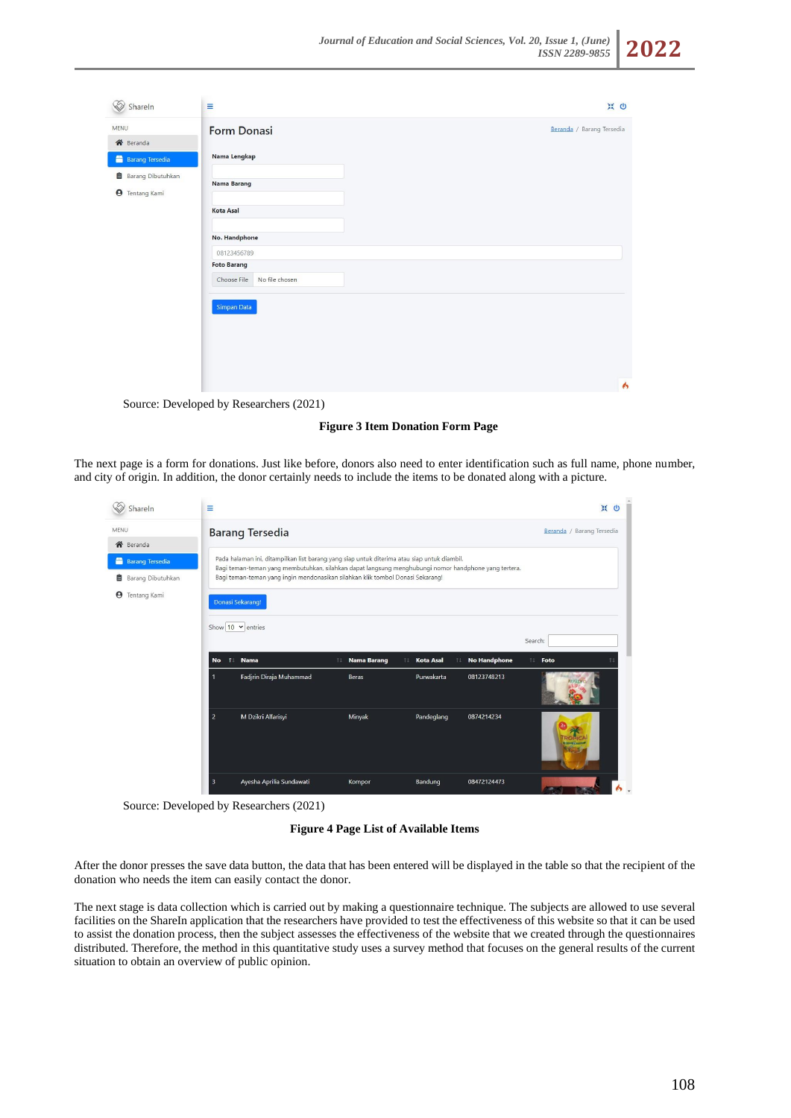

| MENU                                                | Form Donasi                                         | Beranda / Barang Tersedia |
|-----------------------------------------------------|-----------------------------------------------------|---------------------------|
| 各 Beranda                                           |                                                     |                           |
| <b>Barang Tersedia</b>                              | Nama Lengkap                                        |                           |
| <b>B</b> Barang Dibutuhkan<br><b>9</b> Tentang Kami | Nama Barang                                         |                           |
|                                                     | Kota Asal                                           |                           |
|                                                     | No. Handphone                                       |                           |
|                                                     | 08123456789                                         |                           |
|                                                     | <b>Foto Barang</b><br>No file chosen<br>Choose File |                           |
|                                                     | Simpan Data                                         |                           |
|                                                     |                                                     |                           |
|                                                     |                                                     |                           |
|                                                     |                                                     |                           |

Source: Developed by Researchers (2021)

**Figure 3 Item Donation Form Page**

The next page is a form for donations. Just like before, donors also need to enter identification such as full name, phone number, and city of origin. In addition, the donor certainly needs to include the items to be donated along with a picture.

| <b>SEP</b><br>Shareln                 | Ξ                                                                                           |                          |                                                                                                      | 景<br>$\omega$             |  |
|---------------------------------------|---------------------------------------------------------------------------------------------|--------------------------|------------------------------------------------------------------------------------------------------|---------------------------|--|
| MENU                                  | <b>Barang Tersedia</b>                                                                      |                          |                                                                                                      | Beranda / Barang Tersedia |  |
| <b>谷</b> Beranda                      |                                                                                             |                          |                                                                                                      |                           |  |
| <b>Barang Tersedia</b>                | Pada halaman ini, ditampilkan list barang yang siap untuk diterima atau siap untuk diambil. |                          | Bagi teman-teman yang membutuhkan, silahkan dapat langsung menghubungi nomor handphone yang tertera. |                           |  |
| <b>图</b> Barang Dibutuhkan            | Bagi teman-teman yang ingin mendonasikan silahkan klik tombol Donasi Sekarang!              |                          |                                                                                                      |                           |  |
| Tentang Kami<br>$\boldsymbol{\Theta}$ | Donasi Sekarang!                                                                            |                          |                                                                                                      |                           |  |
|                                       | Show 10 $\vee$ entries<br>Nama<br>11<br><b>No</b>                                           | <b>Nama Barang</b><br>11 | <b>No Handphone</b><br><b>Kota Asal</b><br>11<br>11                                                  | Search:<br>11<br>Foto     |  |
|                                       | Fadjrin Diraja Muhammad<br>1                                                                | Beras                    | Purwakarta<br>08123748213                                                                            |                           |  |
|                                       | M Dzikri Alfarisyi<br>$\overline{2}$                                                        | Minyak                   | Pandeglang<br>0874214234                                                                             |                           |  |
|                                       | Ayesha Aprilia Sundawati<br>$\overline{\mathbf{3}}$                                         | Kompor                   | Bandung<br>08472124473                                                                               |                           |  |

Source: Developed by Researchers (2021)

**Figure 4 Page List of Available Items**

After the donor presses the save data button, the data that has been entered will be displayed in the table so that the recipient of the donation who needs the item can easily contact the donor.

The next stage is data collection which is carried out by making a questionnaire technique. The subjects are allowed to use several facilities on the ShareIn application that the researchers have provided to test the effectiveness of this website so that it can be used to assist the donation process, then the subject assesses the effectiveness of the website that we created through the questionnaires distributed. Therefore, the method in this quantitative study uses a survey method that focuses on the general results of the current situation to obtain an overview of public opinion.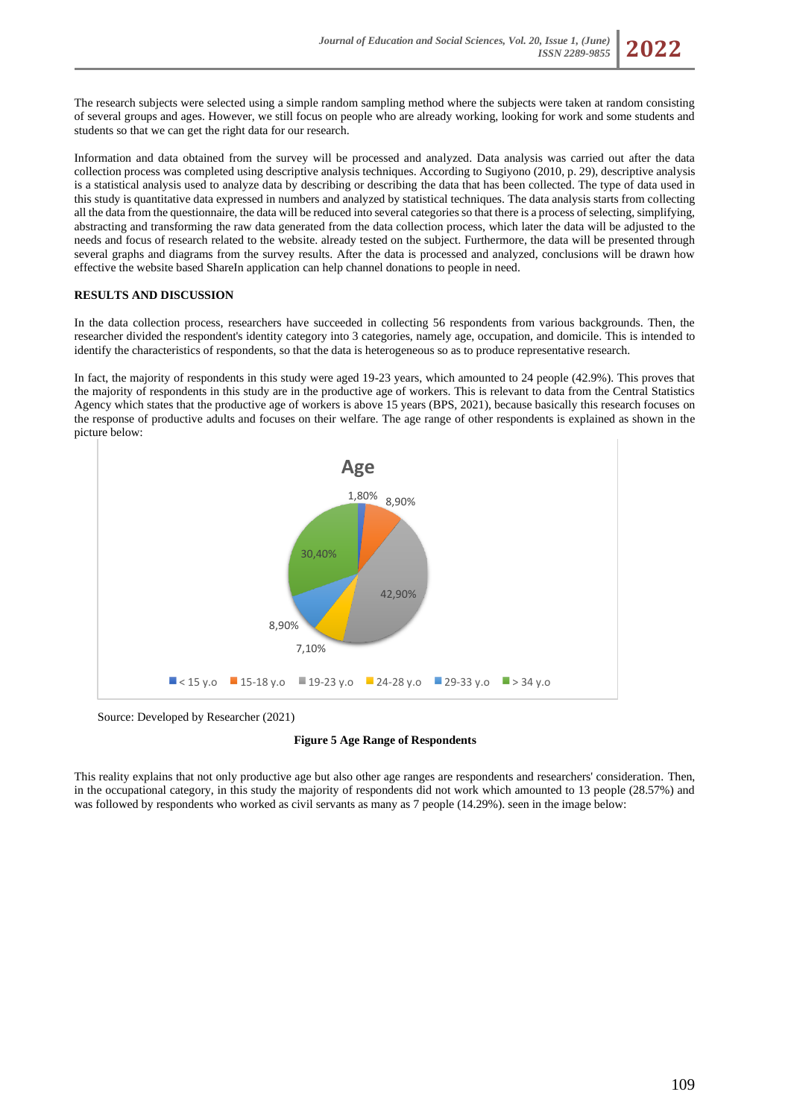

Information and data obtained from the survey will be processed and analyzed. Data analysis was carried out after the data collection process was completed using descriptive analysis techniques. According to Sugiyono (2010, p. 29), descriptive analysis is a statistical analysis used to analyze data by describing or describing the data that has been collected. The type of data used in this study is quantitative data expressed in numbers and analyzed by statistical techniques. The data analysis starts from collecting all the data from the questionnaire, the data will be reduced into several categories so that there is a process of selecting, simplifying, abstracting and transforming the raw data generated from the data collection process, which later the data will be adjusted to the needs and focus of research related to the website. already tested on the subject. Furthermore, the data will be presented through several graphs and diagrams from the survey results. After the data is processed and analyzed, conclusions will be drawn how effective the website based ShareIn application can help channel donations to people in need.

### **RESULTS AND DISCUSSION**

In the data collection process, researchers have succeeded in collecting 56 respondents from various backgrounds. Then, the researcher divided the respondent's identity category into 3 categories, namely age, occupation, and domicile. This is intended to identify the characteristics of respondents, so that the data is heterogeneous so as to produce representative research.

In fact, the majority of respondents in this study were aged 19-23 years, which amounted to 24 people (42.9%). This proves that the majority of respondents in this study are in the productive age of workers. This is relevant to data from the Central Statistics Agency which states that the productive age of workers is above 15 years (BPS, 2021), because basically this research focuses on the response of productive adults and focuses on their welfare. The age range of other respondents is explained as shown in the picture below:



Source: Developed by Researcher (2021)

### **Figure 5 Age Range of Respondents**

This reality explains that not only productive age but also other age ranges are respondents and researchers' consideration. Then, in the occupational category, in this study the majority of respondents did not work which amounted to 13 people (28.57%) and was followed by respondents who worked as civil servants as many as 7 people (14.29%). seen in the image below: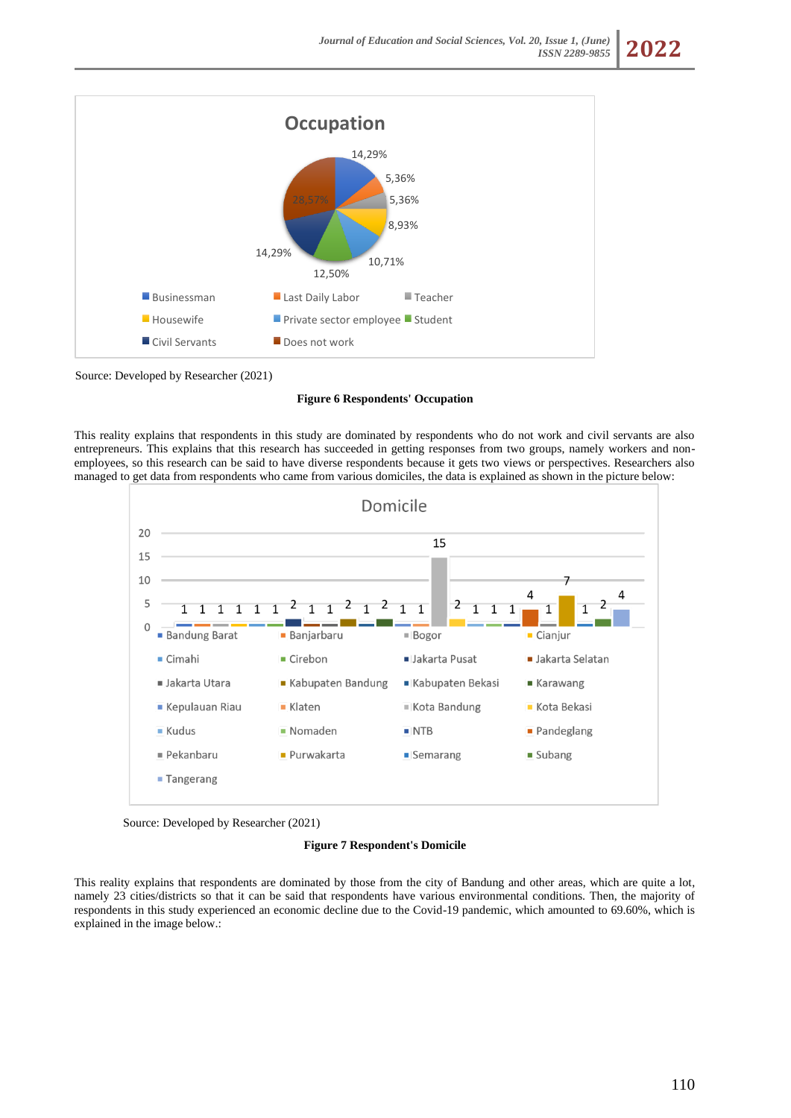

Source: Developed by Researcher (2021)

### **Figure 6 Respondents' Occupation**

This reality explains that respondents in this study are dominated by respondents who do not work and civil servants are also entrepreneurs. This explains that this research has succeeded in getting responses from two groups, namely workers and nonemployees, so this research can be said to have diverse respondents because it gets two views or perspectives. Researchers also managed to get data from respondents who came from various domiciles, the data is explained as shown in the picture below:





#### **Figure 7 Respondent's Domicile**

This reality explains that respondents are dominated by those from the city of Bandung and other areas, which are quite a lot, namely 23 cities/districts so that it can be said that respondents have various environmental conditions. Then, the majority of respondents in this study experienced an economic decline due to the Covid-19 pandemic, which amounted to 69.60%, which is explained in the image below.: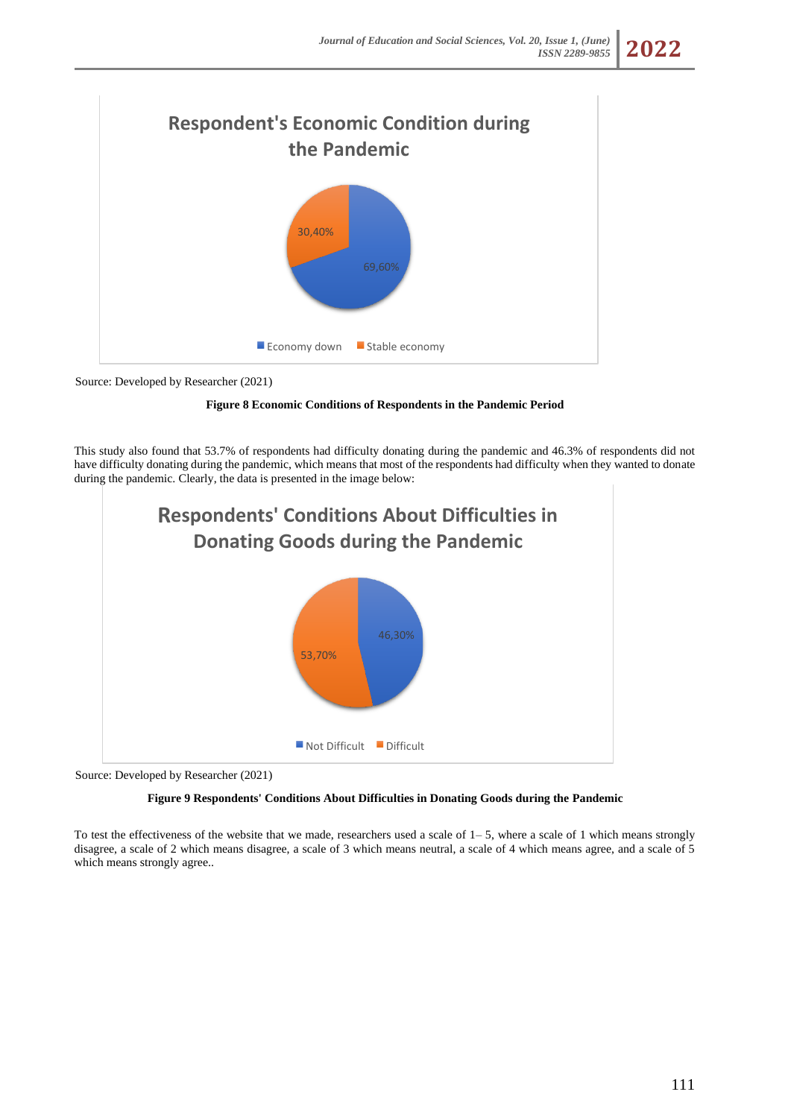

Source: Developed by Researcher (2021)

**Figure 8 Economic Conditions of Respondents in the Pandemic Period**

This study also found that 53.7% of respondents had difficulty donating during the pandemic and 46.3% of respondents did not have difficulty donating during the pandemic, which means that most of the respondents had difficulty when they wanted to donate during the pandemic. Clearly, the data is presented in the image below:



Source: Developed by Researcher (2021)

# **Figure 9 Respondents' Conditions About Difficulties in Donating Goods during the Pandemic**

To test the effectiveness of the website that we made, researchers used a scale of  $1-5$ , where a scale of 1 which means strongly disagree, a scale of 2 which means disagree, a scale of 3 which means neutral, a scale of 4 which means agree, and a scale of 5 which means strongly agree..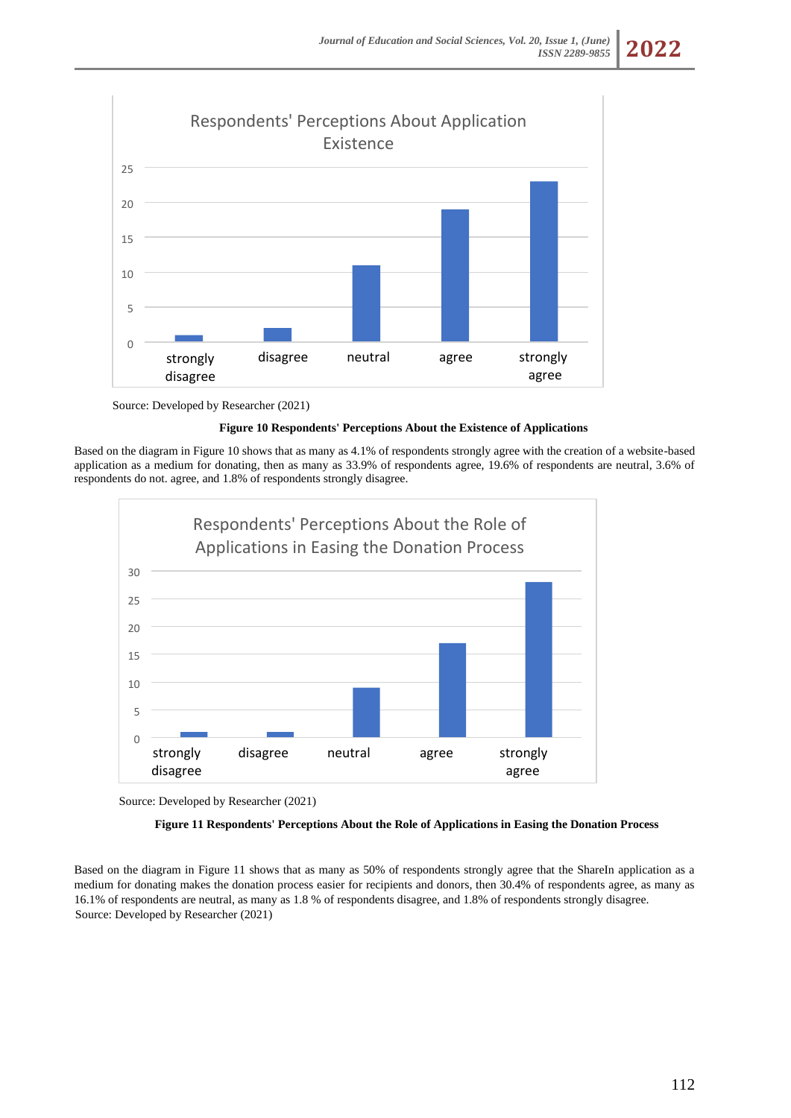

Source: Developed by Researcher (2021)

# **Figure 10 Respondents' Perceptions About the Existence of Applications**

Based on the diagram in Figure 10 shows that as many as 4.1% of respondents strongly agree with the creation of a website-based application as a medium for donating, then as many as 33.9% of respondents agree, 19.6% of respondents are neutral, 3.6% of respondents do not. agree, and 1.8% of respondents strongly disagree.



Source: Developed by Researcher (2021)

# **Figure 11 Respondents' Perceptions About the Role of Applications in Easing the Donation Process**

Based on the diagram in Figure 11 shows that as many as 50% of respondents strongly agree that the ShareIn application as a medium for donating makes the donation process easier for recipients and donors, then 30.4% of respondents agree, as many as 16.1% of respondents are neutral, as many as 1.8 % of respondents disagree, and 1.8% of respondents strongly disagree. Source: Developed by Researcher (2021)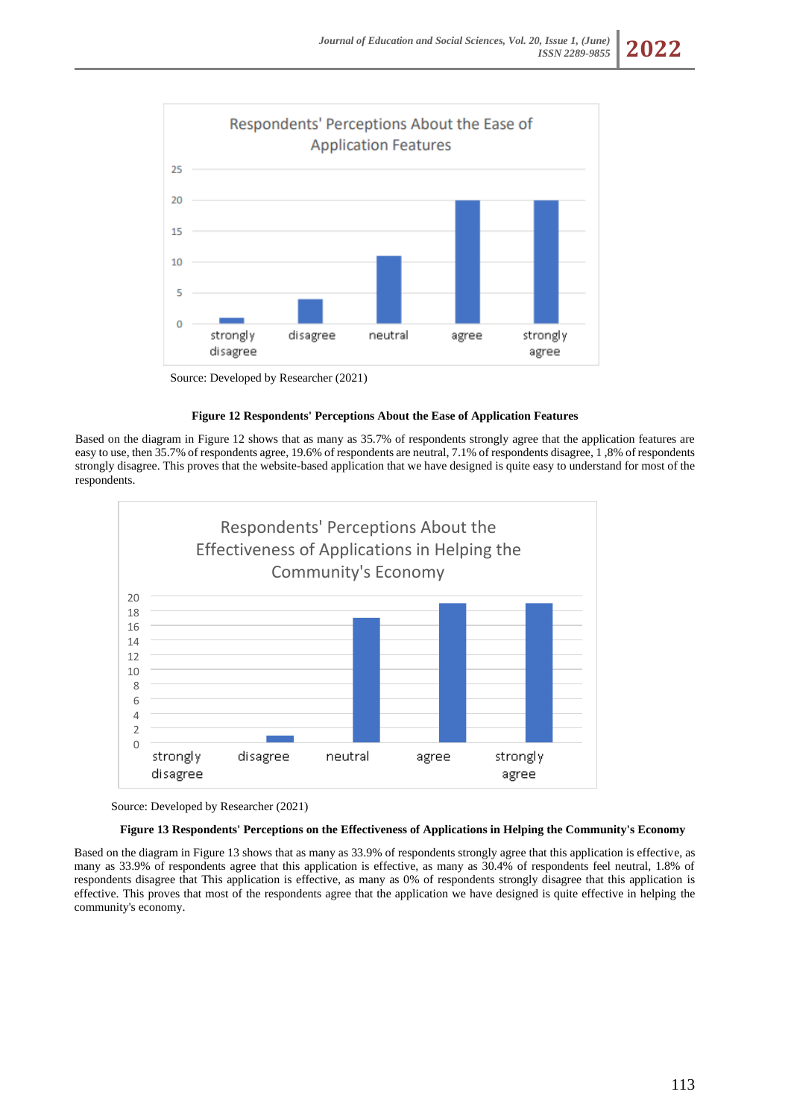

Source: Developed by Researcher (2021)

### **Figure 12 Respondents' Perceptions About the Ease of Application Features**

Based on the diagram in Figure 12 shows that as many as 35.7% of respondents strongly agree that the application features are easy to use, then 35.7% of respondents agree, 19.6% of respondents are neutral, 7.1% of respondents disagree, 1 ,8% of respondents strongly disagree. This proves that the website-based application that we have designed is quite easy to understand for most of the respondents.





## **Figure 13 Respondents' Perceptions on the Effectiveness of Applications in Helping the Community's Economy**

Based on the diagram in Figure 13 shows that as many as 33.9% of respondents strongly agree that this application is effective, as many as 33.9% of respondents agree that this application is effective, as many as 30.4% of respondents feel neutral, 1.8% of respondents disagree that This application is effective, as many as 0% of respondents strongly disagree that this application is effective. This proves that most of the respondents agree that the application we have designed is quite effective in helping the community's economy.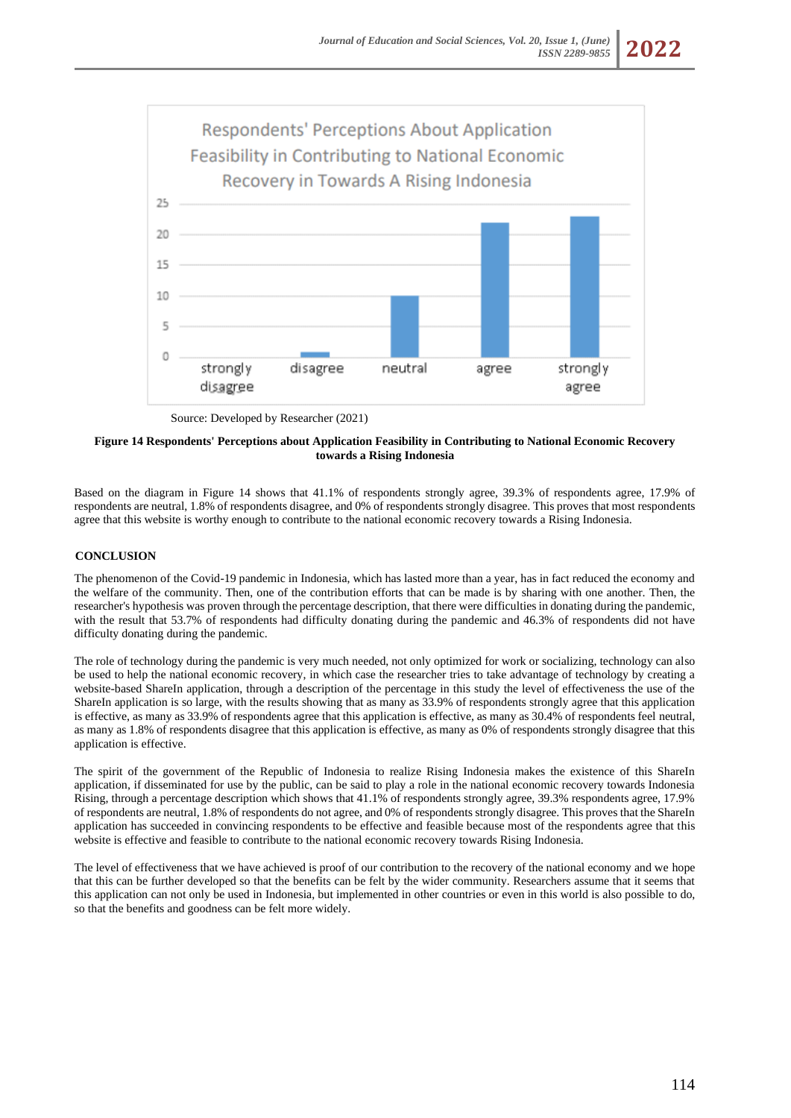

Source: Developed by Researcher (2021)

# **Figure 14 Respondents' Perceptions about Application Feasibility in Contributing to National Economic Recovery towards a Rising Indonesia**

Based on the diagram in Figure 14 shows that 41.1% of respondents strongly agree, 39.3% of respondents agree, 17.9% of respondents are neutral, 1.8% of respondents disagree, and 0% of respondents strongly disagree. This proves that most respondents agree that this website is worthy enough to contribute to the national economic recovery towards a Rising Indonesia.

# **CONCLUSION**

The phenomenon of the Covid-19 pandemic in Indonesia, which has lasted more than a year, has in fact reduced the economy and the welfare of the community. Then, one of the contribution efforts that can be made is by sharing with one another. Then, the researcher's hypothesis was proven through the percentage description, that there were difficulties in donating during the pandemic, with the result that 53.7% of respondents had difficulty donating during the pandemic and 46.3% of respondents did not have difficulty donating during the pandemic.

The role of technology during the pandemic is very much needed, not only optimized for work or socializing, technology can also be used to help the national economic recovery, in which case the researcher tries to take advantage of technology by creating a website-based ShareIn application, through a description of the percentage in this study the level of effectiveness the use of the ShareIn application is so large, with the results showing that as many as 33.9% of respondents strongly agree that this application is effective, as many as 33.9% of respondents agree that this application is effective, as many as 30.4% of respondents feel neutral, as many as 1.8% of respondents disagree that this application is effective, as many as 0% of respondents strongly disagree that this application is effective.

The spirit of the government of the Republic of Indonesia to realize Rising Indonesia makes the existence of this ShareIn application, if disseminated for use by the public, can be said to play a role in the national economic recovery towards Indonesia Rising, through a percentage description which shows that 41.1% of respondents strongly agree, 39.3% respondents agree, 17.9% of respondents are neutral, 1.8% of respondents do not agree, and 0% of respondents strongly disagree. This proves that the ShareIn application has succeeded in convincing respondents to be effective and feasible because most of the respondents agree that this website is effective and feasible to contribute to the national economic recovery towards Rising Indonesia.

The level of effectiveness that we have achieved is proof of our contribution to the recovery of the national economy and we hope that this can be further developed so that the benefits can be felt by the wider community. Researchers assume that it seems that this application can not only be used in Indonesia, but implemented in other countries or even in this world is also possible to do, so that the benefits and goodness can be felt more widely.